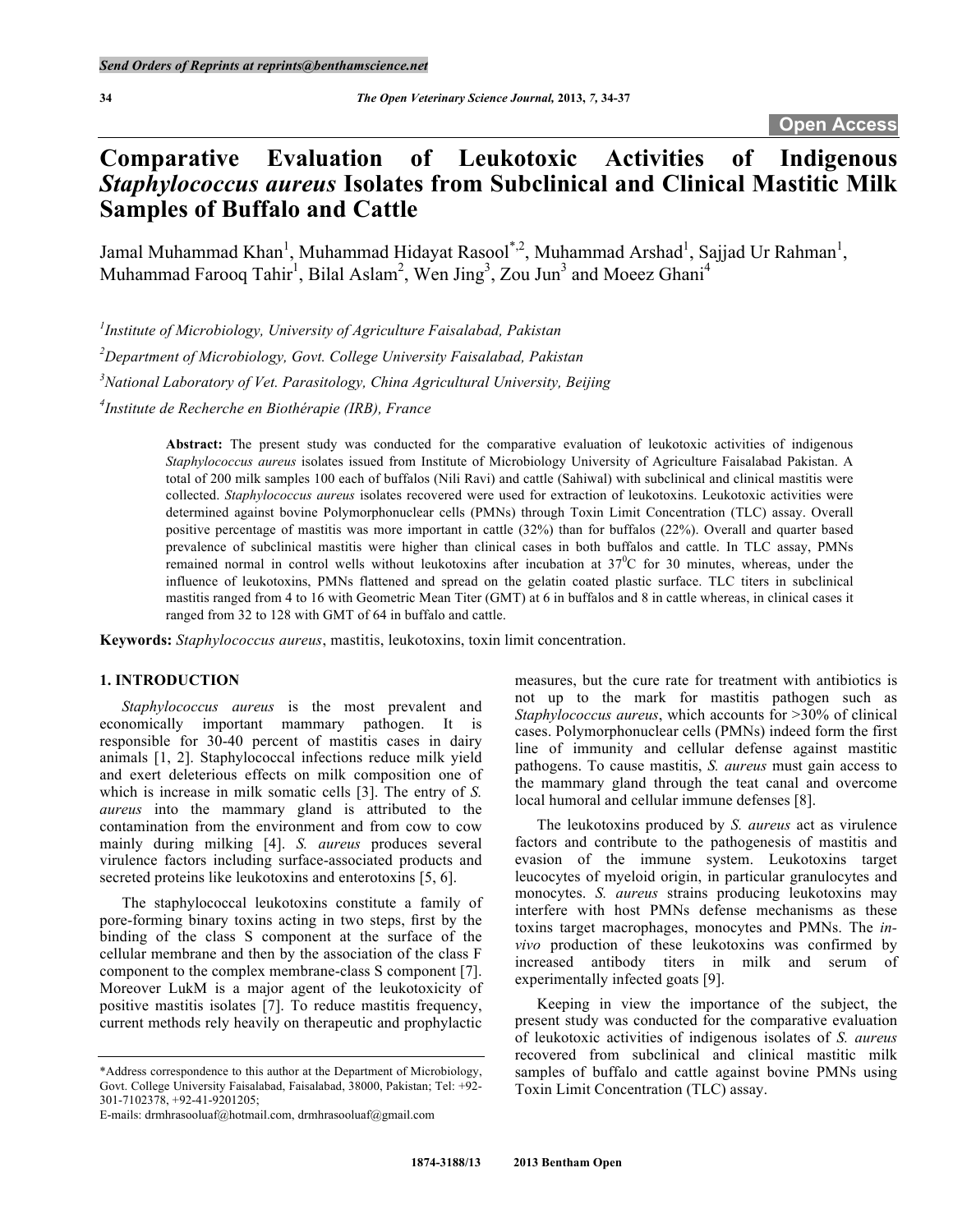# **Comparative Evaluation of Leukotoxic Activities of Indigenous**  *Staphylococcus aureus* **Isolates from Subclinical and Clinical Mastitic Milk Samples of Buffalo and Cattle**

Jamal Muhammad Khan<sup>1</sup>, Muhammad Hidayat Rasool<sup>\*,2</sup>, Muhammad Arshad<sup>1</sup>, Sajjad Ur Rahman<sup>1</sup>, Muhammad Farooq Tahir<sup>1</sup>, Bilal Aslam<sup>2</sup>, Wen Jing<sup>3</sup>, Zou Jun<sup>3</sup> and Moeez Ghani<sup>4</sup>

*1 Institute of Microbiology, University of Agriculture Faisalabad, Pakistan*

*2 Department of Microbiology, Govt. College University Faisalabad, Pakistan*

*3 National Laboratory of Vet. Parasitology, China Agricultural University, Beijing*

*4 Institute de Recherche en Biothérapie (IRB), France*

**Abstract:** The present study was conducted for the comparative evaluation of leukotoxic activities of indigenous *Staphylococcus aureus* isolates issued from Institute of Microbiology University of Agriculture Faisalabad Pakistan. A total of 200 milk samples 100 each of buffalos (Nili Ravi) and cattle (Sahiwal) with subclinical and clinical mastitis were collected. *Staphylococcus aureus* isolates recovered were used for extraction of leukotoxins. Leukotoxic activities were determined against bovine Polymorphonuclear cells (PMNs) through Toxin Limit Concentration (TLC) assay. Overall positive percentage of mastitis was more important in cattle (32%) than for buffalos (22%). Overall and quarter based prevalence of subclinical mastitis were higher than clinical cases in both buffalos and cattle. In TLC assay, PMNs remained normal in control wells without leukotoxins after incubation at  $37^{\circ}$ C for 30 minutes, whereas, under the influence of leukotoxins, PMNs flattened and spread on the gelatin coated plastic surface. TLC titers in subclinical mastitis ranged from 4 to 16 with Geometric Mean Titer (GMT) at 6 in buffalos and 8 in cattle whereas, in clinical cases it ranged from 32 to 128 with GMT of 64 in buffalo and cattle.

**Keywords:** *Staphylococcus aureus*, mastitis, leukotoxins, toxin limit concentration.

# **1. INTRODUCTION**

*Staphylococcus aureus* is the most prevalent and economically important mammary pathogen. It is responsible for 30-40 percent of mastitis cases in dairy animals [1, 2]. Staphylococcal infections reduce milk yield and exert deleterious effects on milk composition one of which is increase in milk somatic cells [3]. The entry of *S. aureus* into the mammary gland is attributed to the contamination from the environment and from cow to cow mainly during milking [4]. *S. aureus* produces several virulence factors including surface-associated products and secreted proteins like leukotoxins and enterotoxins [5, 6].

The staphylococcal leukotoxins constitute a family of pore-forming binary toxins acting in two steps, first by the binding of the class S component at the surface of the cellular membrane and then by the association of the class F component to the complex membrane-class S component [7]. Moreover LukM is a major agent of the leukotoxicity of positive mastitis isolates [7]. To reduce mastitis frequency, current methods rely heavily on therapeutic and prophylactic

measures, but the cure rate for treatment with antibiotics is not up to the mark for mastitis pathogen such as *Staphylococcus aureus*, which accounts for >30% of clinical cases. Polymorphonuclear cells (PMNs) indeed form the first line of immunity and cellular defense against mastitic pathogens. To cause mastitis, *S. aureus* must gain access to the mammary gland through the teat canal and overcome local humoral and cellular immune defenses [8].

The leukotoxins produced by *S. aureus* act as virulence factors and contribute to the pathogenesis of mastitis and evasion of the immune system. Leukotoxins target leucocytes of myeloid origin, in particular granulocytes and monocytes. *S. aureus* strains producing leukotoxins may interfere with host PMNs defense mechanisms as these toxins target macrophages, monocytes and PMNs. The *invivo* production of these leukotoxins was confirmed by increased antibody titers in milk and serum of experimentally infected goats [9].

Keeping in view the importance of the subject, the present study was conducted for the comparative evaluation of leukotoxic activities of indigenous isolates of *S. aureus* recovered from subclinical and clinical mastitic milk samples of buffalo and cattle against bovine PMNs using Toxin Limit Concentration (TLC) assay.

<sup>\*</sup>Address correspondence to this author at the Department of Microbiology, Govt. College University Faisalabad, Faisalabad, 38000, Pakistan; Tel: +92- 301-7102378, +92-41-9201205;

E-mails: drmhrasooluaf@hotmail.com, drmhrasooluaf@gmail.com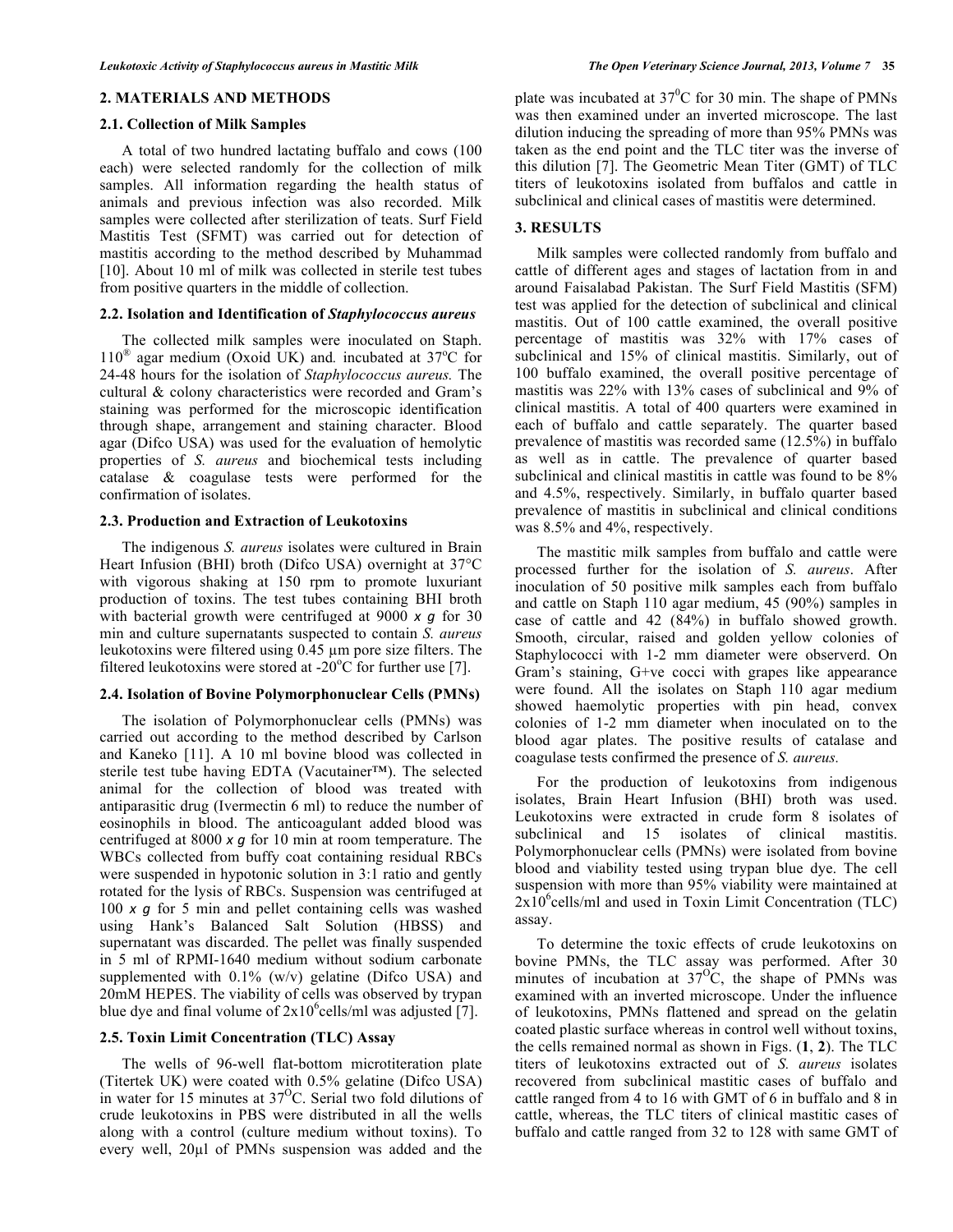## **2. MATERIALS AND METHODS**

#### **2.1. Collection of Milk Samples**

A total of two hundred lactating buffalo and cows (100 each) were selected randomly for the collection of milk samples. All information regarding the health status of animals and previous infection was also recorded. Milk samples were collected after sterilization of teats. Surf Field Mastitis Test (SFMT) was carried out for detection of mastitis according to the method described by Muhammad [10]. About 10 ml of milk was collected in sterile test tubes from positive quarters in the middle of collection.

### **2.2. Isolation and Identification of** *Staphylococcus aureus*

The collected milk samples were inoculated on Staph. 110<sup>®</sup> agar medium (Oxoid UK) and. incubated at 37<sup>°</sup>C for 24-48 hours for the isolation of *Staphylococcus aureus.* The cultural & colony characteristics were recorded and Gram's staining was performed for the microscopic identification through shape, arrangement and staining character. Blood agar (Difco USA) was used for the evaluation of hemolytic properties of *S. aureus* and biochemical tests including catalase & coagulase tests were performed for the confirmation of isolates.

### **2.3. Production and Extraction of Leukotoxins**

The indigenous *S. aureus* isolates were cultured in Brain Heart Infusion (BHI) broth (Difco USA) overnight at 37°C with vigorous shaking at 150 rpm to promote luxuriant production of toxins. The test tubes containing BHI broth with bacterial growth were centrifuged at 9000 *x q* for 30 min and culture supernatants suspected to contain *S. aureus* leukotoxins were filtered using 0.45 µm pore size filters. The filtered leukotoxins were stored at -20 $\mathrm{^{\circ}C}$  for further use [7].

# **2.4. Isolation of Bovine Polymorphonuclear Cells (PMNs)**

The isolation of Polymorphonuclear cells (PMNs) was carried out according to the method described by Carlson and Kaneko [11]. A 10 ml bovine blood was collected in sterile test tube having EDTA (Vacutainer™). The selected animal for the collection of blood was treated with antiparasitic drug (Ivermectin 6 ml) to reduce the number of eosinophils in blood. The anticoagulant added blood was centrifuged at 8000 *x g* for 10 min at room temperature. The WBCs collected from buffy coat containing residual RBCs were suspended in hypotonic solution in 3:1 ratio and gently rotated for the lysis of RBCs. Suspension was centrifuged at 100 *x g* for 5 min and pellet containing cells was washed using Hank's Balanced Salt Solution (HBSS) and supernatant was discarded. The pellet was finally suspended in 5 ml of RPMI-1640 medium without sodium carbonate supplemented with  $0.1\%$  (w/v) gelatine (Difco USA) and 20mM HEPES. The viability of cells was observed by trypan blue dye and final volume of  $2x10^6$ cells/ml was adjusted [7].

# **2.5. Toxin Limit Concentration (TLC) Assay**

The wells of 96-well flat-bottom microtiteration plate (Titertek UK) were coated with 0.5% gelatine (Difco USA) in water for 15 minutes at  $37^{\circ}$ C. Serial two fold dilutions of crude leukotoxins in PBS were distributed in all the wells along with a control (culture medium without toxins). To every well, 20µl of PMNs suspension was added and the

plate was incubated at  $37^0C$  for 30 min. The shape of PMNs was then examined under an inverted microscope. The last dilution inducing the spreading of more than 95% PMNs was taken as the end point and the TLC titer was the inverse of this dilution [7]. The Geometric Mean Titer (GMT) of TLC titers of leukotoxins isolated from buffalos and cattle in subclinical and clinical cases of mastitis were determined.

# **3. RESULTS**

Milk samples were collected randomly from buffalo and cattle of different ages and stages of lactation from in and around Faisalabad Pakistan. The Surf Field Mastitis (SFM) test was applied for the detection of subclinical and clinical mastitis. Out of 100 cattle examined, the overall positive percentage of mastitis was 32% with 17% cases of subclinical and 15% of clinical mastitis. Similarly, out of 100 buffalo examined, the overall positive percentage of mastitis was 22% with 13% cases of subclinical and 9% of clinical mastitis. A total of 400 quarters were examined in each of buffalo and cattle separately. The quarter based prevalence of mastitis was recorded same (12.5%) in buffalo as well as in cattle. The prevalence of quarter based subclinical and clinical mastitis in cattle was found to be  $8\%$ and 4.5%, respectively. Similarly, in buffalo quarter based prevalence of mastitis in subclinical and clinical conditions was 8.5% and 4%, respectively.

The mastitic milk samples from buffalo and cattle were processed further for the isolation of *S. aureus*. After inoculation of 50 positive milk samples each from buffalo and cattle on Staph 110 agar medium, 45 (90%) samples in case of cattle and 42 (84%) in buffalo showed growth. Smooth, circular, raised and golden yellow colonies of Staphylococci with 1-2 mm diameter were observerd. On Gram's staining, G+ve cocci with grapes like appearance were found. All the isolates on Staph 110 agar medium showed haemolytic properties with pin head, convex colonies of 1-2 mm diameter when inoculated on to the blood agar plates. The positive results of catalase and coagulase tests confirmed the presence of *S. aureus.*

For the production of leukotoxins from indigenous isolates, Brain Heart Infusion (BHI) broth was used. Leukotoxins were extracted in crude form 8 isolates of subclinical and 15 isolates of clinical mastitis. Polymorphonuclear cells (PMNs) were isolated from bovine blood and viability tested using trypan blue dye. The cell suspension with more than 95% viability were maintained at  $2x10^6$ cells/ml and used in Toxin Limit Concentration (TLC) assay.

To determine the toxic effects of crude leukotoxins on bovine PMNs, the TLC assay was performed. After 30 minutes of incubation at  $37^{\circ}$ C, the shape of PMNs was examined with an inverted microscope. Under the influence of leukotoxins, PMNs flattened and spread on the gelatin coated plastic surface whereas in control well without toxins, the cells remained normal as shown in Figs. (**1**, **2**). The TLC titers of leukotoxins extracted out of *S. aureus* isolates recovered from subclinical mastitic cases of buffalo and cattle ranged from 4 to 16 with GMT of 6 in buffalo and 8 in cattle, whereas, the TLC titers of clinical mastitic cases of buffalo and cattle ranged from 32 to 128 with same GMT of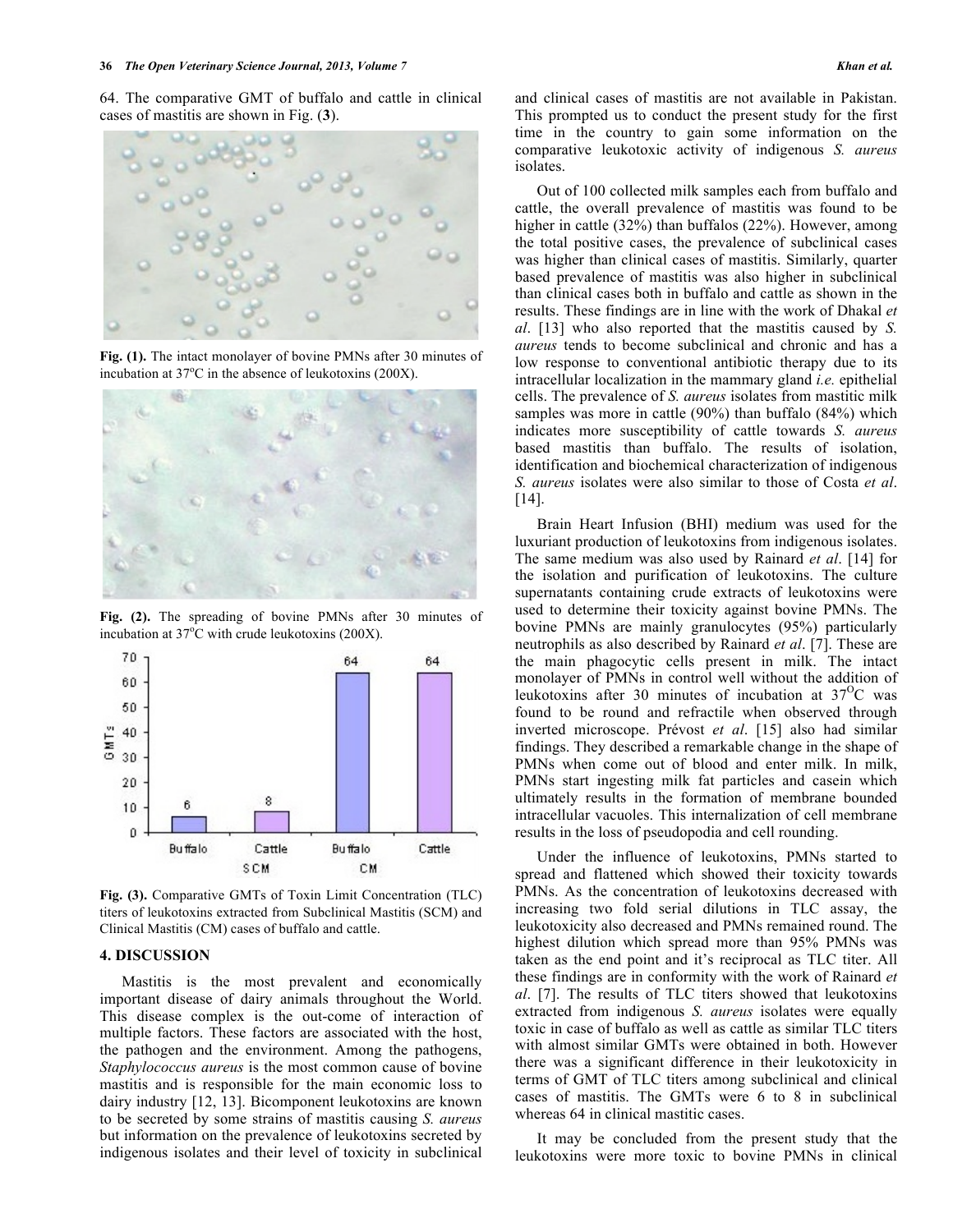64. The comparative GMT of buffalo and cattle in clinical cases of mastitis are shown in Fig. (**3**).



**Fig. (1).** The intact monolayer of bovine PMNs after 30 minutes of incubation at  $37^{\circ}$ C in the absence of leukotoxins (200X).



**Fig. (2).** The spreading of bovine PMNs after 30 minutes of incubation at  $37^{\circ}$ C with crude leukotoxins (200X).



**Fig. (3).** Comparative GMTs of Toxin Limit Concentration (TLC) titers of leukotoxins extracted from Subclinical Mastitis (SCM) and Clinical Mastitis (CM) cases of buffalo and cattle.

#### **4. DISCUSSION**

Mastitis is the most prevalent and economically important disease of dairy animals throughout the World. This disease complex is the out-come of interaction of multiple factors. These factors are associated with the host, the pathogen and the environment. Among the pathogens, *Staphylococcus aureus* is the most common cause of bovine mastitis and is responsible for the main economic loss to dairy industry [12, 13]. Bicomponent leukotoxins are known to be secreted by some strains of mastitis causing *S. aureus* but information on the prevalence of leukotoxins secreted by indigenous isolates and their level of toxicity in subclinical

and clinical cases of mastitis are not available in Pakistan. This prompted us to conduct the present study for the first time in the country to gain some information on the comparative leukotoxic activity of indigenous *S. aureus* isolates.

Out of 100 collected milk samples each from buffalo and cattle, the overall prevalence of mastitis was found to be higher in cattle (32%) than buffalos (22%). However, among the total positive cases, the prevalence of subclinical cases was higher than clinical cases of mastitis. Similarly, quarter based prevalence of mastitis was also higher in subclinical than clinical cases both in buffalo and cattle as shown in the results. These findings are in line with the work of Dhakal *et al*. [13] who also reported that the mastitis caused by *S. aureus* tends to become subclinical and chronic and has a low response to conventional antibiotic therapy due to its intracellular localization in the mammary gland *i.e.* epithelial cells. The prevalence of *S. aureus* isolates from mastitic milk samples was more in cattle (90%) than buffalo (84%) which indicates more susceptibility of cattle towards *S. aureus*  based mastitis than buffalo. The results of isolation, identification and biochemical characterization of indigenous *S. aureus* isolates were also similar to those of Costa *et al*. [14].

Brain Heart Infusion (BHI) medium was used for the luxuriant production of leukotoxins from indigenous isolates. The same medium was also used by Rainard *et al*. [14] for the isolation and purification of leukotoxins. The culture supernatants containing crude extracts of leukotoxins were used to determine their toxicity against bovine PMNs. The bovine PMNs are mainly granulocytes (95%) particularly neutrophils as also described by Rainard *et al*. [7]. These are the main phagocytic cells present in milk. The intact monolayer of PMNs in control well without the addition of leukotoxins after 30 minutes of incubation at  $37^{\circ}$ C was found to be round and refractile when observed through inverted microscope. Prévost *et al*. [15] also had similar findings. They described a remarkable change in the shape of PMNs when come out of blood and enter milk. In milk, PMNs start ingesting milk fat particles and casein which ultimately results in the formation of membrane bounded intracellular vacuoles. This internalization of cell membrane results in the loss of pseudopodia and cell rounding.

Under the influence of leukotoxins, PMNs started to spread and flattened which showed their toxicity towards PMNs. As the concentration of leukotoxins decreased with increasing two fold serial dilutions in TLC assay, the leukotoxicity also decreased and PMNs remained round. The highest dilution which spread more than 95% PMNs was taken as the end point and it's reciprocal as TLC titer. All these findings are in conformity with the work of Rainard *et al*. [7]. The results of TLC titers showed that leukotoxins extracted from indigenous *S. aureus* isolates were equally toxic in case of buffalo as well as cattle as similar TLC titers with almost similar GMTs were obtained in both. However there was a significant difference in their leukotoxicity in terms of GMT of TLC titers among subclinical and clinical cases of mastitis. The GMTs were 6 to 8 in subclinical whereas 64 in clinical mastitic cases.

It may be concluded from the present study that the leukotoxins were more toxic to bovine PMNs in clinical